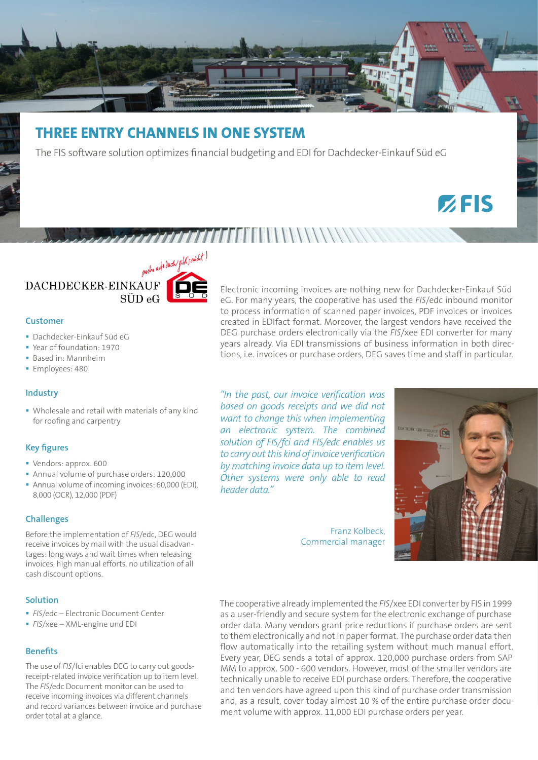

# **THREE ENTRY CHANNELS IN ONE SYSTEM**

The FIS software solution optimizes financial budgeting and EDI for Dachdecker-Einkauf Süd eG

# $Z$ FIS



#### **Customer**

- Dachdecker-Einkauf Süd eG
- Year of foundation: 1970
- Based in: Mannheim
- **Employees: 480**

# **Industry**

 Wholesale and retail with materials of any kind for roofing and carpentry

#### **Key figures**

- Vendors: approx. 600
- Annual volume of purchase orders: 120,000
- Annual volume of incoming invoices: 60,000 (EDI), 8,000 (OCR), 12,000 (PDF)

# **Challenges**

Before the implementation of *FIS*/edc, DEG would receive invoices by mail with the usual disadvantages: long ways and wait times when releasing invoices, high manual efforts, no utilization of all cash discount options.

# **Solution**

- *FIS*/edc Electronic Document Center
- *FIS*/xee XML-engine und EDI

#### **Benefits**

The use of *FIS*/fci enables DEG to carry out goodsreceipt-related invoice verification up to item level. The *FIS*/edc Document monitor can be used to receive incoming invoices via different channels and record variances between invoice and purchase order total at a glance.

Electronic incoming invoices are nothing new for Dachdecker-Einkauf Süd eG. For many years, the cooperative has used the *FIS*/edc inbound monitor to process information of scanned paper invoices, PDF invoices or invoices created in EDIfact format. Moreover, the largest vendors have received the DEG purchase orders electronically via the *FIS*/xee EDI converter for many years already. Via EDI transmissions of business information in both directions, i.e. invoices or purchase orders, DEG saves time and staff in particular.

*"In the past, our invoice verification was based on goods receipts and we did not want to change this when implementing an electronic system. The combined solution of FIS/fci and FIS/edc enables us to carry out this kind of invoice verification by matching invoice data up to item level. Other systems were only able to read header data."* 

> Franz Kolbeck, Commercial manager



The cooperative already implemented the *FIS*/xee EDI converter by FIS in 1999 as a user-friendly and secure system for the electronic exchange of purchase order data. Many vendors grant price reductions if purchase orders are sent to them electronically and not in paper format. The purchase order data then flow automatically into the retailing system without much manual effort. Every year, DEG sends a total of approx. 120,000 purchase orders from SAP MM to approx. 500 - 600 vendors. However, most of the smaller vendors are technically unable to receive EDI purchase orders. Therefore, the cooperative and ten vendors have agreed upon this kind of purchase order transmission and, as a result, cover today almost 10 % of the entire purchase order document volume with approx. 11,000 EDI purchase orders per year.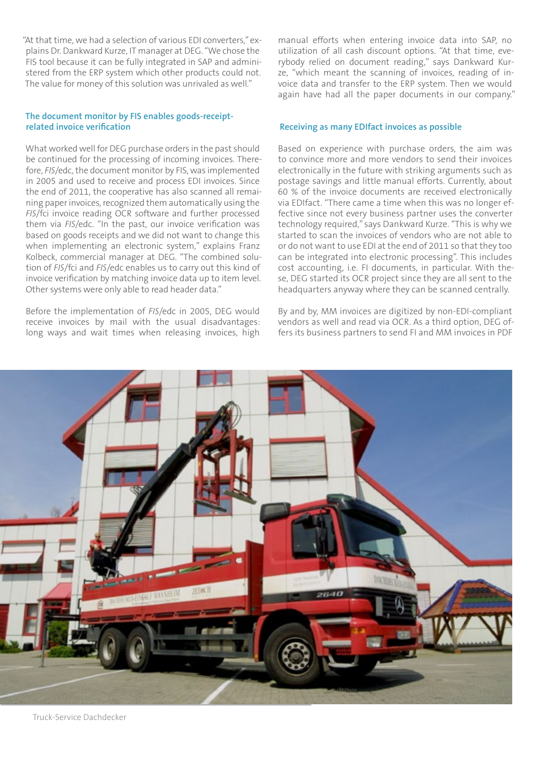"At that time, we had a selection of various EDI converters," explains Dr. Dankward Kurze, IT manager at DEG. "We chose the FIS tool because it can be fully integrated in SAP and administered from the ERP system which other products could not. The value for money of this solution was unrivaled as well."

# **The document monitor by FIS enables goods-receiptrelated invoice verification**

What worked well for DEG purchase orders in the past should be continued for the processing of incoming invoices. Therefore, *FIS*/edc, the document monitor by FIS, was implemented in 2005 and used to receive and process EDI invoices. Since the end of 2011, the cooperative has also scanned all remaining paper invoices, recognized them automatically using the *FIS*/fci invoice reading OCR software and further processed them via *FIS*/edc. "In the past, our invoice verification was based on goods receipts and we did not want to change this when implementing an electronic system," explains Franz Kolbeck, commercial manager at DEG. "The combined solution of *FIS*/fci and *FIS*/edc enables us to carry out this kind of invoice verification by matching invoice data up to item level. Other systems were only able to read header data."

Before the implementation of *FIS*/edc in 2005, DEG would receive invoices by mail with the usual disadvantages: long ways and wait times when releasing invoices, high manual efforts when entering invoice data into SAP, no utilization of all cash discount options. "At that time, everybody relied on document reading," says Dankward Kurze, "which meant the scanning of invoices, reading of invoice data and transfer to the ERP system. Then we would again have had all the paper documents in our company."

#### **Receiving as many EDIfact invoices as possible**

Based on experience with purchase orders, the aim was to convince more and more vendors to send their invoices electronically in the future with striking arguments such as postage savings and little manual efforts. Currently, about 60 % of the invoice documents are received electronically via EDIfact. "There came a time when this was no longer effective since not every business partner uses the converter technology required," says Dankward Kurze. "This is why we started to scan the invoices of vendors who are not able to or do not want to use EDI at the end of 2011 so that they too can be integrated into electronic processing". This includes cost accounting, i.e. FI documents, in particular. With these, DEG started its OCR project since they are all sent to the headquarters anyway where they can be scanned centrally.

By and by, MM invoices are digitized by non-EDI-compliant vendors as well and read via OCR. As a third option, DEG offers its business partners to send FI and MM invoices in PDF

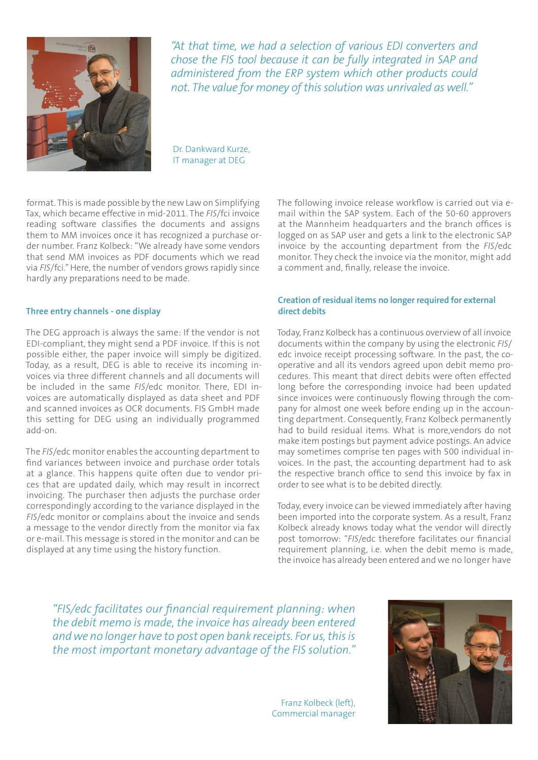

*"At that time, we had a selection of various EDI converters and chose the FIS tool because it can be fully integrated in SAP and administered from the ERP system which other products could not. The value for money of this solution was unrivaled as well."*

Dr. Dankward Kurze, IT manager at DEG

format. This is made possible by the new Law on Simplifying Tax, which became effective in mid-2011. The *FIS*/fci invoice reading software classifies the documents and assigns them to MM invoices once it has recognized a purchase order number. Franz Kolbeck: "We already have some vendors that send MM invoices as PDF documents which we read via *FIS*/fci." Here, the number of vendors grows rapidly since hardly any preparations need to be made.

# **Three entry channels - one display**

The DEG approach is always the same: If the vendor is not EDI-compliant, they might send a PDF invoice. If this is not possible either, the paper invoice will simply be digitized. Today, as a result, DEG is able to receive its incoming invoices via three different channels and all documents will be included in the same *FIS*/edc monitor. There, EDI invoices are automatically displayed as data sheet and PDF and scanned invoices as OCR documents. FIS GmbH made this setting for DEG using an individually programmed add-on.

The *FIS*/edc monitor enables the accounting department to find variances between invoice and purchase order totals at a glance. This happens quite often due to vendor prices that are updated daily, which may result in incorrect invoicing. The purchaser then adjusts the purchase order correspondingly according to the variance displayed in the *FIS*/edc monitor or complains about the invoice and sends a message to the vendor directly from the monitor via fax or e-mail. This message is stored in the monitor and can be displayed at any time using the history function.

The following invoice release workflow is carried out via email within the SAP system. Each of the 50-60 approvers at the Mannheim headquarters and the branch offices is logged on as SAP user and gets a link to the electronic SAP invoice by the accounting department from the *FIS*/edc monitor. They check the invoice via the monitor, might add a comment and, finally, release the invoice.

# **Creation of residual items no longer required for external direct debits**

Today, Franz Kolbeck has a continuous overview of all invoice documents within the company by using the electronic *FIS*/ edc invoice receipt processing software. In the past, the cooperative and all its vendors agreed upon debit memo procedures. This meant that direct debits were often effected long before the corresponding invoice had been updated since invoices were continuously flowing through the company for almost one week before ending up in the accounting department. Consequently, Franz Kolbeck permanently had to build residual items. What is more,vendors do not make item postings but payment advice postings. An advice may sometimes comprise ten pages with 500 individual invoices. In the past, the accounting department had to ask the respective branch office to send this invoice by fax in order to see what is to be debited directly.

Today, every invoice can be viewed immediately after having been imported into the corporate system. As a result, Franz Kolbeck already knows today what the vendor will directly post tomorrow: "*FIS*/edc therefore facilitates our financial requirement planning, i.e. when the debit memo is made, the invoice has already been entered and we no longer have

*"FIS/edc facilitates our financial requirement planning: when the debit memo is made, the invoice has already been entered and we no longer have to post open bank receipts. For us, this is the most important monetary advantage of the FIS solution."*

> Franz Kolbeck (left), Commercial manager